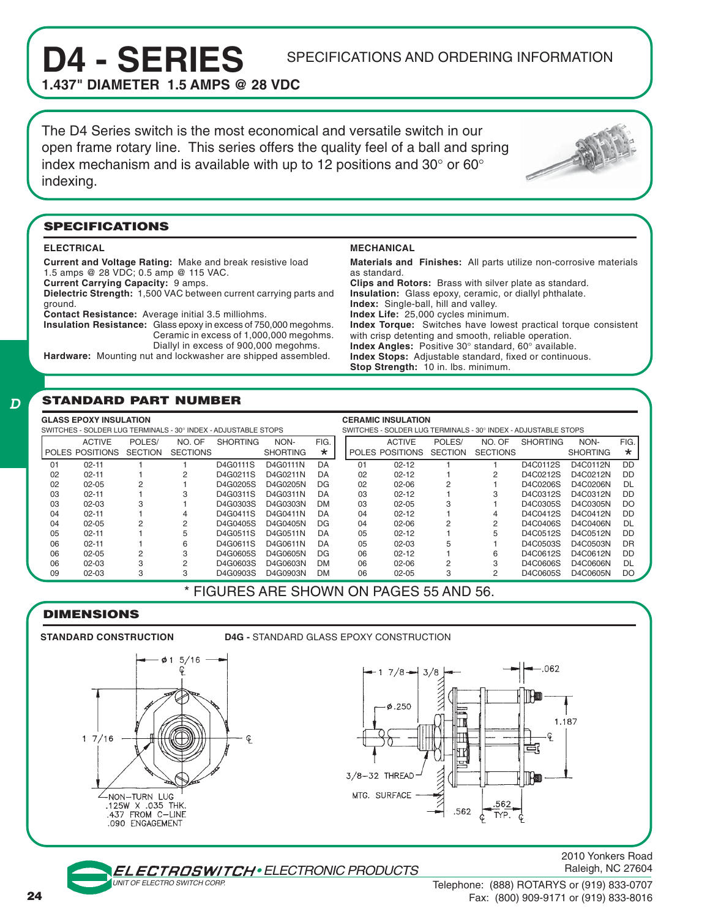# D4 - SERIES SPECIFICATIONS AND ORDERING INFORMATION

**1.437" DIAMETER 1.5 AMPS @ 28 VDC**

The D4 Series switch is the most economical and versatile switch in our open frame rotary line. This series offers the quality feel of a ball and spring index mechanism and is available with up to 12 positions and 30 $^{\circ}$  or 60 $^{\circ}$ indexing.



#### **SPECIFICATIONS**

#### **ELECTRICAL**

 $\bm{D}$ 

**Current and Voltage Rating:** Make and break resistive load 1.5 amps @ 28 VDC; 0.5 amp @ 115 VAC. **Current Carrying Capacity:** 9 amps. **Dielectric Strength:** 1,500 VAC between current carrying parts and

ground. **Contact Resistance:** Average initial 3.5 milliohms.

**Insulation Resistance:** Glass epoxy in excess of 750,000 megohms. Ceramic in excess of 1,000,000 megohms. Diallyl in excess of 900,000 megohms.

**Hardware:** Mounting nut and lockwasher are shipped assembled.

#### **MECHANICAL**

**Materials and Finishes:** All parts utilize non-corrosive materials as standard. **Clips and Rotors:** Brass with silver plate as standard. **Insulation:** Glass epoxy, ceramic, or diallyl phthalate. **Index:** Single-ball, hill and valley. **Index Life:** 25,000 cycles minimum. **Index Torque:** Switches have lowest practical torque consistent with crisp detenting and smooth, reliable operation. **Index Angles:** Positive 30° standard, 60° available. **Index Stops:** Adjustable standard, fixed or continuous. **Stop Strength:** 10 in. lbs. minimum.

#### **STANDARD PART NUMBER**

| <b>GLASS EPOXY INSULATION</b><br>SWITCHES - SOLDER LUG TERMINALS - 30° INDEX - ADJUSTABLE STOPS |                 |                |                 |                 |                 |           |    | <b>CERAMIC INSULATION</b><br>SWITCHES - SOLDER LUG TERMINALS - 30° INDEX - ADJUSTABLE STOPS |                |                 |                 |                 |         |  |
|-------------------------------------------------------------------------------------------------|-----------------|----------------|-----------------|-----------------|-----------------|-----------|----|---------------------------------------------------------------------------------------------|----------------|-----------------|-----------------|-----------------|---------|--|
|                                                                                                 |                 |                |                 |                 |                 |           |    |                                                                                             |                |                 |                 |                 |         |  |
|                                                                                                 | <b>ACTIVE</b>   | POLES/         | NO. OF          | <b>SHORTING</b> | NON-            | FIG.      |    | <b>ACTIVE</b>                                                                               | POLES/         | NO. OF          | <b>SHORTING</b> | NON-            | FIG.    |  |
|                                                                                                 | POLES POSITIONS | <b>SECTION</b> | <b>SECTIONS</b> |                 | <b>SHORTING</b> | $\star$   |    | POLES POSITIONS                                                                             | <b>SECTION</b> | <b>SECTIONS</b> |                 | <b>SHORTING</b> | $\star$ |  |
| 01                                                                                              | $02 - 11$       |                |                 | D4G0111S        | D4G0111N        | DA        | 01 | $02 - 12$                                                                                   |                |                 | D4C0112S        | D4C0112N        | DD.     |  |
| 02                                                                                              | $02 - 11$       |                | 2               | D4G0211S        | D4G0211N        | DA        | 02 | $02 - 12$                                                                                   |                | 2               | D4C0212S        | D4C0212N        | DD      |  |
| 02                                                                                              | $02 - 05$       | 2              |                 | D4G0205S        | D4G0205N        | DG        | 02 | $02 - 06$                                                                                   | 2              |                 | D4C0206S        | D4C0206N        | DI.     |  |
| 03                                                                                              | $02 - 11$       |                |                 | D4G0311S        | D4G0311N        | DA        | 03 | $02 - 12$                                                                                   |                | 3               | D4C0312S        | D4C0312N        | DD      |  |
| 03                                                                                              | 02-03           | 3              |                 | D4G0303S        | D4G0303N        | <b>DM</b> | 03 | $02 - 05$                                                                                   | 3              |                 | D4C0305S        | D4C0305N        | DO      |  |
| 04                                                                                              | $02 - 11$       |                | 4               | D4G0411S        | D4G0411N        | DA        | 04 | $02 - 12$                                                                                   |                | 4               | D4C0412S        | D4C0412N        | DD      |  |
| 04                                                                                              | $02 - 05$       | 2              | 2               | D4G0405S        | D4G0405N        | DG.       | 04 | $02-06$                                                                                     | 2              | 2               | D4C0406S        | D4C0406N        | DI.     |  |
| 05                                                                                              | $02 - 11$       |                | 5               | D4G0511S        | D4G0511N        | DA        | 05 | $02 - 12$                                                                                   |                | 5               | D4C0512S        | D4C0512N        | DD.     |  |
| 06                                                                                              | $02 - 11$       |                | 6               | D4G0611S        | D4G0611N        | DA        | 05 | $02 - 03$                                                                                   | 5              |                 | D4C0503S        | D4C0503N        | DR      |  |
| 06                                                                                              | $02 - 05$       | 2              | 3               | D4G0605S        | D4G0605N        | DG.       | 06 | $02 - 12$                                                                                   |                | 6               | D4C0612S        | D4C0612N        | DD      |  |
| 06                                                                                              | 02-03           | 3              | 2               | D4G0603S        | D4G0603N        | <b>DM</b> | 06 | $02 - 06$                                                                                   | 2              | 3               | D4C0606S        | D4C0606N        | DL      |  |
| 09                                                                                              | $02 - 03$       | 3              | 3               | D4G0903S        | D4G0903N        | <b>DM</b> | 06 | $02 - 05$                                                                                   | 3              | 2               | D4C0605S        | D4C0605N        | DO      |  |

#### \* FIGURES ARE SHOWN ON PAGES 55 AND 56.

#### **DIMENSIONS**

**STANDARD CONSTRUCTION D4G -** STANDARD GLASS EPOXY CONSTRUCTION  $5/16$ Ç  $7/8 3/8$  $0.250$  $17/16$ ¢ 3/8-32 THREAD -<br>NON-TURN LUG MTG. SURFACE .125W X .035 THK. .437 FROM C-LINE .090 ENGAGEMENT



#### • ELECTRONIC PRODUCTS

2010 Yonkers Road Raleigh, NC 27604

UNIT OF ELECTRO SWITCH CORP.

Telephone: (888) ROTARYS or (919) 833-0707 Fax: (800) 909-9171 or (919) 833-8016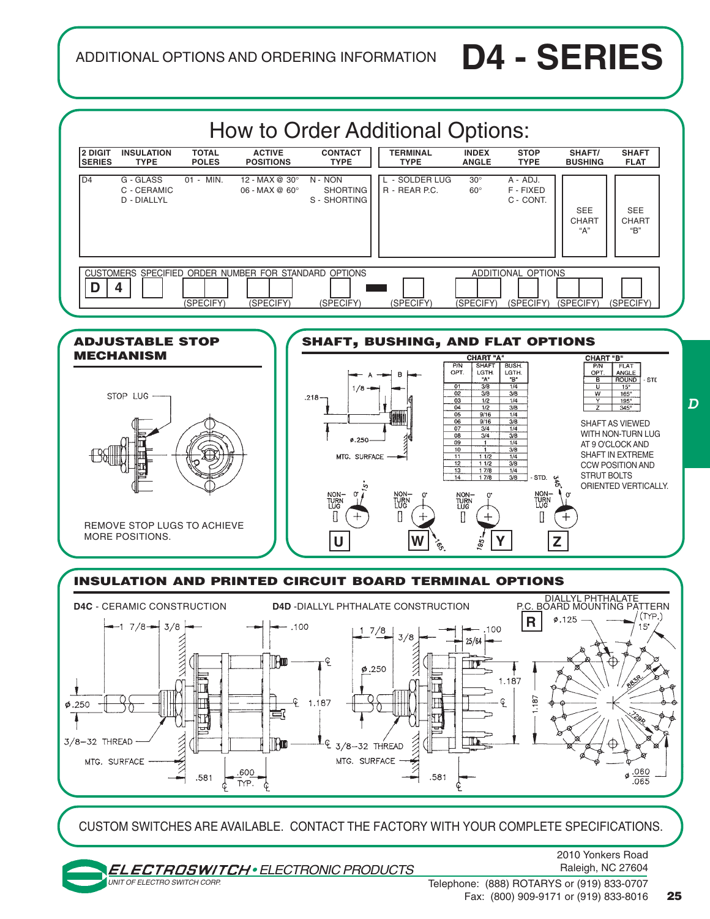ADDITIONAL OPTIONS AND ORDERING INFORMATION **D4 - SERIES**



Telephone: (888) ROTARYS or (919) 833-0707 Fax: (800) 909-9171 or (919) 833-8016 **25**